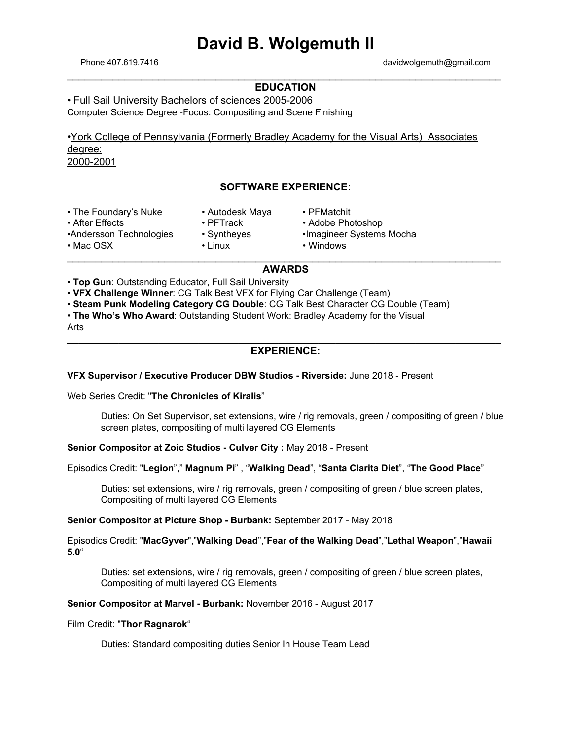# **David B. Wolgemuth II**

Phone 407.619.7416 davidwolgemuth@gmail.com

# \_\_\_\_\_\_\_\_\_\_\_\_\_\_\_\_\_\_\_\_\_\_\_\_\_\_\_\_\_\_\_\_\_\_\_\_\_\_\_\_\_\_\_\_\_\_\_\_\_\_\_\_\_\_\_\_\_\_\_\_\_\_\_\_\_\_\_\_\_\_\_\_\_\_\_\_ **EDUCATION**

• Full Sail University Bachelors of sciences 2005-2006 Computer Science Degree -Focus: Compositing and Scene Finishing

•York College of Pennsylvania (Formerly Bradley Academy for the Visual Arts) Associates degree: 2000-2001

# **SOFTWARE EXPERIENCE:**

| • The Foundary's Nuke   | • Autodesk Maya | • PFMatchit              |  |
|-------------------------|-----------------|--------------------------|--|
| • After Effects         | $\cdot$ PFTrack | • Adobe Photoshop        |  |
| •Andersson Technologies | • Syntheyes     | •Imagineer Systems Mocha |  |
| • Mac OSX               | • Linux         | • Windows                |  |
|                         |                 |                          |  |

# **AWARDS**

• **Top Gun**: Outstanding Educator, Full Sail University

• **VFX Challenge Winner**: CG Talk Best VFX for Flying Car Challenge (Team)

• **Steam Punk Modeling Category CG Double**: CG Talk Best Character CG Double (Team)

• **The Who's Who Award**: Outstanding Student Work: Bradley Academy for the Visual Arts

# \_\_\_\_\_\_\_\_\_\_\_\_\_\_\_\_\_\_\_\_\_\_\_\_\_\_\_\_\_\_\_\_\_\_\_\_\_\_\_\_\_\_\_\_\_\_\_\_\_\_\_\_\_\_\_\_\_\_\_\_\_\_\_\_\_\_\_\_\_\_\_\_\_\_\_\_ **EXPERIENCE:**

**VFX Supervisor / Executive Producer DBW Studios - Riverside:** June 2018 - Present

Web Series Credit: "**The Chronicles of Kiralis**"

Duties: On Set Supervisor, set extensions, wire / rig removals, green / compositing of green / blue screen plates, compositing of multi layered CG Elements

**Senior Compositor at Zoic Studios - Culver City :** May 2018 - Present

Episodics Credit: "**Legion**"," **Magnum Pi**" , "**Walking Dead**", "**Santa Clarita Diet**", "**The Good Place**"

Duties: set extensions, wire / rig removals, green / compositing of green / blue screen plates, Compositing of multi layered CG Elements

**Senior Compositor at Picture Shop - Burbank:** September 2017 - May 2018

Episodics Credit: "**MacGyver**","**Walking Dead**","**Fear of the Walking Dead**","**Lethal Weapon**","**Hawaii 5.0**"

Duties: set extensions, wire / rig removals, green / compositing of green / blue screen plates, Compositing of multi layered CG Elements

## **Senior Compositor at Marvel - Burbank:** November 2016 - August 2017

### Film Credit: "**Thor Ragnarok**"

Duties: Standard compositing duties Senior In House Team Lead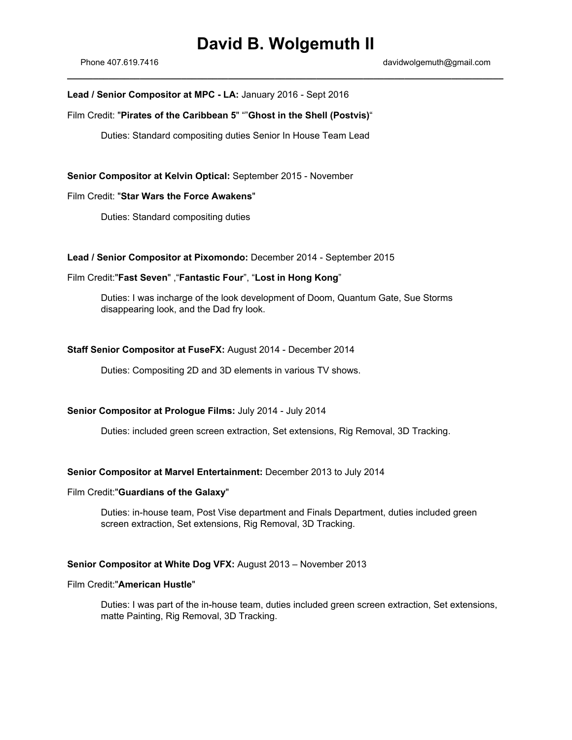# **David B. Wolgemuth II**

**\_\_\_\_\_\_\_\_\_\_\_\_\_\_\_\_\_\_\_\_\_\_\_\_\_\_\_\_\_\_\_\_\_\_\_\_\_\_\_\_\_\_\_\_\_\_\_\_\_\_\_\_\_\_\_\_\_\_\_\_\_\_\_\_\_\_\_\_\_\_\_\_\_\_\_\_\_\_\_\_\_\_\_\_**

## **Lead / Senior Compositor at MPC - LA:** January 2016 - Sept 2016

## Film Credit: "**Pirates of the Caribbean 5**" ""**Ghost in the Shell (Postvis)**"

Duties: Standard compositing duties Senior In House Team Lead

**Senior Compositor at Kelvin Optical:** September 2015 - November

# Film Credit: "**Star Wars the Force Awakens**"

Duties: Standard compositing duties

## **Lead / Senior Compositor at Pixomondo:** December 2014 - September 2015

# Film Credit:"**Fast Seven**" ,"**Fantastic Four**", "**Lost in Hong Kong**"

Duties: I was incharge of the look development of Doom, Quantum Gate, Sue Storms disappearing look, and the Dad fry look.

## **Staff Senior Compositor at FuseFX:** August 2014 - December 2014

Duties: Compositing 2D and 3D elements in various TV shows.

# **Senior Compositor at Prologue Films:** July 2014 - July 2014

Duties: included green screen extraction, Set extensions, Rig Removal, 3D Tracking.

### **Senior Compositor at Marvel Entertainment:** December 2013 to July 2014

#### Film Credit:"**Guardians of the Galaxy**"

Duties: in-house team, Post Vise department and Finals Department, duties included green screen extraction, Set extensions, Rig Removal, 3D Tracking.

## **Senior Compositor at White Dog VFX:** August 2013 – November 2013

#### Film Credit:"**American Hustle**"

Duties: I was part of the in-house team, duties included green screen extraction, Set extensions, matte Painting, Rig Removal, 3D Tracking.